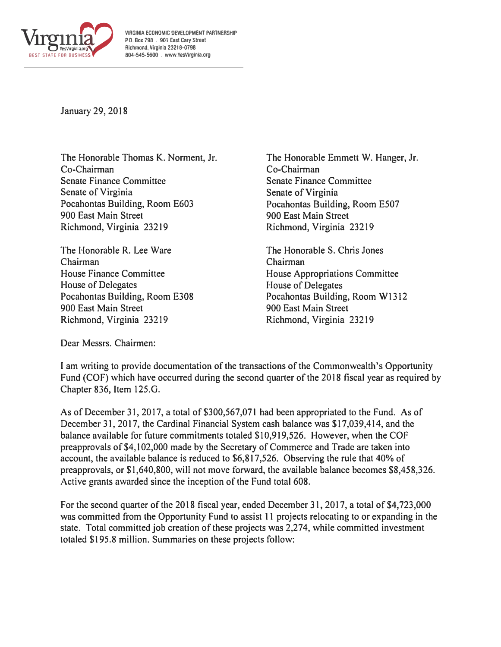

**VIRGINIA ECONOMIC DEVELOPMENT PARTNERSHIP PO. Box 798 . 901 East Cary Street Richmond. Virginia 23218·0798 804·545·5600 . www.YesVlrglnia.org** 

January 29, 2018

The Honorable Thomas K. Norment, Jr. Co-Chairman Senate Finance Committee Senate of Virginia Pocahontas Building, Room E603 900 East Main Street Richmond, Virginia 23219

The Honorable R. Lee Ware Chairman House Finance Committee House of Delegates Pocahontas Building, Room E308 900 East Main Street Richmond, Virginia 23219

The Honorable Emmett W. Hanger, Jr. Co-Chairman Senate Finance Committee Senate of Virginia Pocahontas Building, Room E507 900 East Main Street Richmond, Virginia 23219

The Honorable S. Chris Jones Chairman House Appropriations Committee House of Delegates Pocahontas Building, Room W1312 900 East Main Street Richmond, Virginia 23219

Dear Messrs. Chairmen:

I am writing to provide documentation of the transactions of the Commonwealth's Opportunity Fund (COF) which have occurred during the second quarter of the 2018 fiscal year as required by Chapter 836, Item 125.G.

As of December 31, 2017, a total of \$300,567,071 had been appropriated to the Fund. As of December 31, 2017, the Cardinal Financial System cash balance was \$17,039,414, and the balance available for future commitments totaled \$10,919,526. However, when the COF preapprovals of \$4,102,000 made by the Secretary of Commerce and Trade are taken into account, the available balance is reduced to \$6,817,526. Observing the rule that 40% of preapprovals, or \$1,640,800, will not move forward, the available balance becomes \$8,458,326. Active grants awarded since the inception of the Fund total 608.

For the second quarter of the 2018 fiscal year, ended December 31, 2017, a total of \$4,723,000 was committed from the Opportunity Fund to assist 11 projects relocating to or expanding in the state. Total committed job creation of these projects was 2,274, while committed investment totaled \$195 .8 million. Summaries on these projects follow: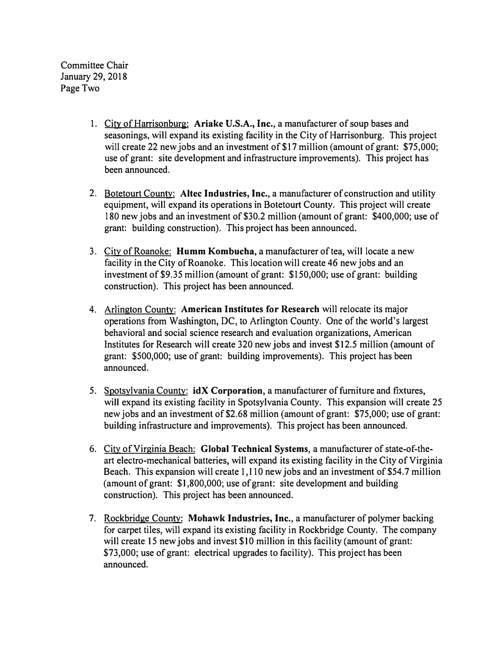Committee Chair January 29, 2018 Page Two

- 1. City of Harrisonburg: **Ariake U.S.A., Inc.,** a manufacturer of soup bases and seasonings, will expand its existing facility in the City of Harrisonburg. This project will create 22 new jobs and an investment of \$17 million (amount of grant: \$75,000; use of grant: site development and infrastructure improvements). This project has been announced.
- 2. Botetourt County: **Altec Industries, Inc.,** a manufacturer of construction and utility equipment, will expand its operations in Botetourt County. This project will create 180 new jobs and an investment of \$30.2 million (amount of grant: \$400,000; use of grant: building construction). This project has been announced.
- 3. City of Roanoke: **Humm Kombucha,** a manufacturer of tea, will locate a new facility in the City of Roanoke. This location will create 46 new jobs and an investment of \$9.35 million (amount of grant: \$150,000; use of grant: building construction). This project has been announced.
- 4. Arlington County: **American Institutes for Research** will relocate its major operations from Washington, DC, to Arlington County. One of the world's largest behavioral and social science research and evaluation organizations, American Institutes for Research will create 320 new jobs and invest \$12.5 million (amount of grant: \$500,000; use of grant: building improvements). This project has been announced.
- 5. Spotsylvania County: **idX Corporation,** a manufacturer of furniture and fixtures, will expand its existing facility in Spotsylvania County. This expansion will create 25 new jobs and an investment of \$2.68 million (amount of grant: \$75,000; use of grant: building infrastructure and improvements). This project has been announced.
- 6. City of Virginia Beach: **Global Technical Systems,** a manufacturer of state-of-theart electro-mechanical batteries, will expand its existing facility in the City of Virginia Beach. This expansion will create 1,110 new jobs and an investment of \$54.7 million (amount of grant: \$1,800,000; use of grant: site development and building construction). This project has been announced.
- 7. Rockbridge County: **Mohawk Industries, Inc.,** a manufacturer of polymer backing for carpet tiles, will expand its existing facility in Rockbridge County. The company will create 15 new jobs and invest \$10 million in this facility (amount of grant: \$73,000; use of grant: electrical upgrades to facility). This project has been announced.